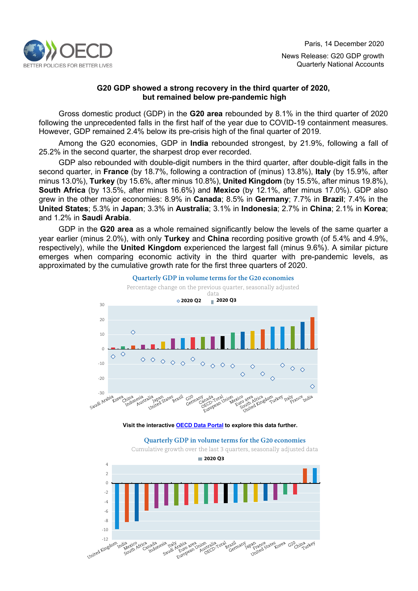

# **G20 GDP showed a strong recovery in the third quarter of 2020, but remained below pre-pandemic high**

Gross domestic product (GDP) in the **G20 area** rebounded by 8.1% in the third quarter of 2020 following the unprecedented falls in the first half of the year due to COVID-19 containment measures. However, GDP remained 2.4% below its pre-crisis high of the final quarter of 2019.

Among the G20 economies, GDP in **India** rebounded strongest, by 21.9%, following a fall of 25.2% in the second quarter, the sharpest drop ever recorded.

GDP also rebounded with double-digit numbers in the third quarter, after double-digit falls in the second quarter, in **France** (by 18.7%, following a contraction of (minus) 13.8%), **Italy** (by 15.9%, after minus 13.0%), **Turkey** (by 15.6%, after minus 10.8%), **United Kingdom** (by 15.5%, after minus 19.8%), **South Africa** (by 13.5%, after minus 16.6%) and **Mexico** (by 12.1%, after minus 17.0%). GDP also grew in the other major economies: 8.9% in **Canada**; 8.5% in **Germany**; 7.7% in **Brazil**; 7.4% in the **United States**; 5.3% in **Japan**; 3.3% in **Australia**; 3.1% in **Indonesia**; 2.7% in **China**; 2.1% in **Korea**; and 1.2% in **Saudi Arabia**.

GDP in the **G20 area** as a whole remained significantly below the levels of the same quarter a year earlier (minus 2.0%), with only **Turkey** and **China** recording positive growth (of 5.4% and 4.9%, respectively), while the **United Kingdom** experienced the largest fall (minus 9.6%). A similar picture emerges when comparing economic activity in the third quarter with pre-pandemic levels, as approximated by the cumulative growth rate for the first three quarters of 2020.



**Visit the interactive [OECD Data Portal](https://data.oecd.org/chart/6cOA) to explore this data further.**

#### **Quarterly GDP in volume terms for the G20 economies**

Cumulative growth over the last 3 quarters, seasonally adjusted data **2020 Q3**4 2 0 -2 -4 -6 -8 -10 -12<br>Linited Kingdor e<br>State Korea G20 European United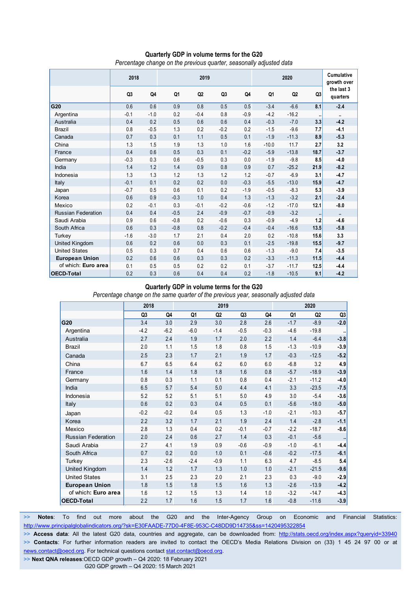## **Quarterly GDP in volume terms for the G20**

*Percentage change on the previous quarter, seasonally adjusted data*

|                           | 2018           |         | 2019   |                |                |        | 2020    |                |                      | Cumulative<br>growth over |
|---------------------------|----------------|---------|--------|----------------|----------------|--------|---------|----------------|----------------------|---------------------------|
|                           | Q <sub>3</sub> | Q4      | Q1     | Q <sub>2</sub> | Q <sub>3</sub> | Q4     | Q1      | Q <sub>2</sub> | Q3                   | the last 3<br>quarters    |
| G20                       | 0.6            | 0.6     | 0.9    | 0.8            | 0.5            | 0.5    | $-3.4$  | $-6.6$         | 8.1                  | $-2.4$                    |
| Argentina                 | $-0.1$         | $-1.0$  | 0.2    | $-0.4$         | 0.8            | $-0.9$ | $-4.2$  | $-16.2$        | $\ddot{\phantom{1}}$ | $\ddot{\phantom{1}}$      |
| Australia                 | 0.4            | 0.2     | 0.5    | 0.6            | 0.6            | 0.4    | $-0.3$  | $-7.0$         | 3.3                  | $-4.2$                    |
| <b>Brazil</b>             | 0.8            | $-0.5$  | 1.3    | 0.2            | $-0.2$         | 0.2    | $-1.5$  | $-9.6$         | 7.7                  | $-4.1$                    |
| Canada                    | 0.7            | 0.3     | 0.1    | 1.1            | 0.5            | 0.1    | $-1.9$  | $-11.3$        | 8.9                  | $-5.3$                    |
| China                     | 1.3            | 1.5     | 1.9    | 1.3            | 1.0            | 1.6    | $-10.0$ | 11.7           | 2.7                  | 3.2                       |
| France                    | 0.4            | 0.6     | 0.5    | 0.3            | 0.1            | $-0.2$ | $-5.9$  | $-13.8$        | 18.7                 | $-3.7$                    |
| Germany                   | $-0.3$         | 0.3     | 0.6    | $-0.5$         | 0.3            | 0.0    | $-1.9$  | $-9.8$         | 8.5                  | $-4.0$                    |
| India                     | 1.4            | 1.2     | 1.4    | 0.9            | 0.8            | 0.9    | 0.7     | $-25.2$        | 21.9                 | $-8.2$                    |
| Indonesia                 | 1.3            | 1.3     | 1.2    | 1.3            | 1.2            | 1.2    | $-0.7$  | $-6.9$         | 3.1                  | $-4.7$                    |
| Italy                     | $-0.1$         | 0.1     | 0.2    | 0.2            | 0.0            | $-0.3$ | $-5.5$  | $-13.0$        | 15.9                 | $-4.7$                    |
| Japan                     | $-0.7$         | 0.5     | 0.6    | 0.1            | 0.2            | $-1.9$ | $-0.5$  | $-8.3$         | 5.3                  | $-3.9$                    |
| Korea                     | 0.6            | 0.9     | $-0.3$ | 1.0            | 0.4            | 1.3    | $-1.3$  | $-3.2$         | 2.1                  | $-2.4$                    |
| Mexico                    | 0.2            | $-0.1$  | 0.3    | $-0.1$         | $-0.2$         | $-0.6$ | $-1.2$  | $-17.0$        | 12.1                 | $-8.0$                    |
| <b>Russian Federation</b> | 0.4            | 0.4     | $-0.5$ | 2.4            | $-0.9$         | $-0.7$ | $-0.9$  | $-3.2$         | $\bullet$            | $\mathbf{u}$              |
| Saudi Arabia              | 0.9            | $0.6\,$ | $-0.8$ | 0.2            | $-0.6$         | 0.3    | $-0.9$  | $-4.9$         | 1.2                  | $-4.6$                    |
| South Africa              | 0.6            | 0.3     | $-0.8$ | 0.8            | $-0.2$         | $-0.4$ | $-0.4$  | $-16.6$        | 13.5                 | $-5.8$                    |
| Turkey                    | $-1.6$         | $-3.0$  | 1.7    | 2.1            | 0.4            | 2.0    | 0.2     | $-10.8$        | 15.6                 | 3.3                       |
| United Kingdom            | 0.6            | 0.2     | 0.6    | 0.0            | 0.3            | 0.1    | $-2.5$  | $-19.8$        | 15.5                 | $-9.7$                    |
| <b>United States</b>      | 0.5            | 0.3     | 0.7    | 0.4            | 0.6            | 0.6    | $-1.3$  | $-9.0$         | 7.4                  | $-3.5$                    |
| <b>European Union</b>     | 0.2            | 0.6     | 0.6    | 0.3            | 0.3            | 0.2    | $-3.3$  | $-11.3$        | 11.5                 | $-4.4$                    |
| of which: Euro area       | 0.1            | 0.5     | 0.5    | 0.2            | 0.2            | 0.1    | $-3.7$  | $-11.7$        | 12.5                 | $-4.4$                    |
| <b>OECD-Total</b>         | 0.2            | 0.3     | 0.6    | 0.4            | 0.4            | 0.2    | $-1.8$  | $-10.5$        | 9.1                  | $-4.2$                    |

#### **Quarterly GDP in volume terms for the G20**

*Percentage change on the same quarter of the previous year, seasonally adjusted data*

|                           | 2018           |        |        | 2019           |                |        | 2020   |                |        |  |
|---------------------------|----------------|--------|--------|----------------|----------------|--------|--------|----------------|--------|--|
|                           | Q <sub>3</sub> | Q4     | Q1     | Q <sub>2</sub> | Q <sub>3</sub> | Q4     | Q1     | Q <sub>2</sub> | Q3     |  |
| G20                       | 3.4            | 3.0    | 2.9    | 3.0            | 2.8            | 2.6    | $-1.7$ | $-8.9$         | $-2.0$ |  |
| Argentina                 | $-4.2$         | $-6.2$ | $-6.0$ | $-1.4$         | $-0.5$         | $-0.3$ | $-4.6$ | $-19.8$        |        |  |
| Australia                 | 2.7            | 2.4    | 1.9    | 1.7            | 2.0            | 2.2    | 1.4    | $-6.4$         | $-3.8$ |  |
| <b>Brazil</b>             | 2.0            | 1.1    | 1.5    | 1.8            | 0.8            | 1.5    | $-1.3$ | $-10.9$        | $-3.9$ |  |
| Canada                    | 2.5            | 2.3    | 1.7    | 2.1            | 1.9            | 1.7    | $-0.3$ | $-12.5$        | $-5.2$ |  |
| China                     | 6.7            | 6.5    | 6.4    | 6.2            | 6.0            | 6.0    | $-6.8$ | 3.2            | 4.9    |  |
| France                    | 1.6            | 1.4    | 1.8    | 1.8            | 1.6            | 0.8    | $-5.7$ | $-18.9$        | $-3.9$ |  |
| Germany                   | 0.8            | 0.3    | 1.1    | 0.1            | 0.8            | 0.4    | $-2.1$ | $-11.2$        | $-4.0$ |  |
| India                     | 6.5            | 5.7    | 5.4    | 5.0            | 4.4            | 4.1    | 3.3    | $-23.5$        | $-7.5$ |  |
| Indonesia                 | 5.2            | 5.2    | 5.1    | 5.1            | 5.0            | 4.9    | 3.0    | $-5.4$         | $-3.6$ |  |
| Italy                     | 0.6            | 0.2    | 0.3    | 0.4            | 0.5            | 0.1    | $-5.6$ | $-18.0$        | $-5.0$ |  |
| Japan                     | $-0.2$         | $-0.2$ | 0.4    | 0.5            | 1.3            | $-1.0$ | $-2.1$ | $-10.3$        | $-5.7$ |  |
| Korea                     | 2.2            | 3.2    | 1.7    | 2.1            | 1.9            | 2.4    | 1.4    | $-2.8$         | $-1.1$ |  |
| Mexico                    | 2.8            | 1.3    | 0.4    | 0.2            | $-0.1$         | $-0.7$ | $-2.2$ | $-18.7$        | $-8.6$ |  |
| <b>Russian Federation</b> | 2.0            | 2.4    | 0.6    | 2.7            | 1.4            | 0.3    | $-0.1$ | $-5.6$         |        |  |
| Saudi Arabia              | 2.7            | 4.1    | 1.9    | 0.9            | $-0.6$         | $-0.9$ | $-1.0$ | $-6.1$         | $-4.4$ |  |
| South Africa              | 0.7            | 0.2    | 0.0    | 1.0            | 0.1            | $-0.6$ | $-0.2$ | $-17.5$        | $-6.1$ |  |
| Turkey                    | 2.3            | $-2.6$ | $-2.4$ | $-0.9$         | 1.1            | 6.3    | 4.7    | $-8.5$         | 5.4    |  |
| United Kingdom            | 1.4            | 1.2    | 1.7    | 1.3            | 1.0            | 1.0    | $-2.1$ | $-21.5$        | $-9.6$ |  |
| <b>United States</b>      | 3.1            | 2.5    | 2.3    | 2.0            | 2.1            | 2.3    | 0.3    | $-9.0$         | $-2.9$ |  |
| <b>European Union</b>     | 1.8            | 1.5    | 1.8    | 1.5            | 1.6            | 1.3    | $-2.6$ | $-13.9$        | $-4.2$ |  |
| of which: Euro area       | 1.6            | 1.2    | 1.5    | 1.3            | 1.4            | 1.0    | $-3.2$ | $-14.7$        | $-4.3$ |  |
| <b>OECD-Total</b>         | 2.2            | 1.7    | 1.6    | 1.5            | 1.7            | 1.6    | $-0.8$ | $-11.6$        | $-3.9$ |  |

>> Notes: To find out more about the G20 and the Inter-Agency Group on Economic and Financial Statistics: <http://www.principalglobalindicators.org/?sk=E30FAADE-77D0-4F8E-953C-C48DD9D14735&ss=1420495322854>

**>> Access data**: All the latest G20 data, countries and aggregate, can be downloaded from:<http://stats.oecd.org/index.aspx?queryid=33940> >> Contacts: For further information readers are invited to contact the OECD's Media Relations Division on (33) 1 45 24 97 00 or at [news.contact@oecd.org.](mailto:news.contact@oecd.org) For technical questions contac[t stat.contact@oecd.org.](mailto:stat.contact@oecd.org)

**>> Next QNA releases**:OECD GDP growth – Q4 2020: 18 February 2021

G20 GDP growth – Q4 2020: 15 March 2021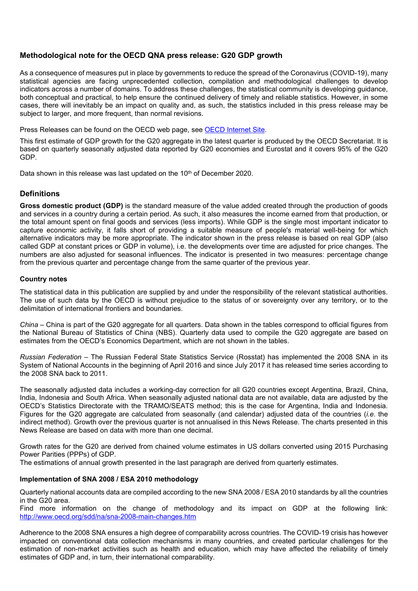# **Methodological note for the OECD QNA press release: G20 GDP growth**

As a consequence of measures put in place by governments to reduce the spread of the Coronavirus (COVID-19), many statistical agencies are facing unprecedented collection, compilation and methodological challenges to develop indicators across a number of domains. To address these challenges, the statistical community is developing guidance, both conceptual and practical, to help ensure the continued delivery of timely and reliable statistics. However, in some cases, there will inevitably be an impact on quality and, as such, the statistics included in this press release may be subject to larger, and more frequent, than normal revisions.

Press Releases can be found on the OECD web page, see [OECD Internet Site.](http://www.oecd.org/sdd/statisticsnewsreleases.htm)

This first estimate of GDP growth for the G20 aggregate in the latest quarter is produced by the OECD Secretariat. It is based on quarterly seasonally adjusted data reported by G20 economies and Eurostat and it covers 95% of the G20 GDP.

Data shown in this release was last updated on the 10<sup>th</sup> of December 2020.

## **Definitions**

**Gross domestic product (GDP)** is the standard measure of the value added created through the production of goods and services in a country during a certain period. As such, it also measures the income earned from that production, or the total amount spent on final goods and services (less imports). While GDP is the single most important indicator to capture economic activity, it falls short of providing a suitable measure of people's material well-being for which alternative indicators may be more appropriate. The indicator shown in the press release is based on real GDP (also called GDP at constant prices or GDP in volume), i.e. the developments over time are adjusted for price changes. The numbers are also adjusted for seasonal influences. The indicator is presented in two measures: percentage change from the previous quarter and percentage change from the same quarter of the previous year.

## **Country notes**

The statistical data in this publication are supplied by and under the responsibility of the relevant statistical authorities. The use of such data by the OECD is without prejudice to the status of or sovereignty over any territory, or to the delimitation of international frontiers and boundaries.

*China* – China is part of the G20 aggregate for all quarters. Data shown in the tables correspond to official figures from the National Bureau of Statistics of China (NBS). Quarterly data used to compile the G20 aggregate are based on estimates from the OECD's Economics Department, which are not shown in the tables.

*Russian Federation* – The Russian Federal State Statistics Service (Rosstat) has implemented the 2008 SNA in its System of National Accounts in the beginning of April 2016 and since July 2017 it has released time series according to the 2008 SNA back to 2011.

The seasonally adjusted data includes a working-day correction for all G20 countries except Argentina, Brazil, China, India, Indonesia and South Africa. When seasonally adjusted national data are not available, data are adjusted by the OECD's Statistics Directorate with the TRAMO/SEATS method; this is the case for Argentina, India and Indonesia. Figures for the G20 aggregate are calculated from seasonally (and calendar) adjusted data of the countries (*i.e.* the indirect method). Growth over the previous quarter is not annualised in this News Release. The charts presented in this News Release are based on data with more than one decimal.

Growth rates for the G20 are derived from chained volume estimates in US dollars converted using 2015 Purchasing Power Parities (PPPs) of GDP.

The estimations of annual growth presented in the last paragraph are derived from quarterly estimates.

### **Implementation of SNA 2008 / ESA 2010 methodology**

Quarterly national accounts data are compiled according to the new SNA 2008 / ESA 2010 standards by all the countries in the G20 area.

Find more information on the change of methodology and its impact on GDP at the following link: <http://www.oecd.org/sdd/na/sna-2008-main-changes.htm>

Adherence to the 2008 SNA ensures a high degree of comparability across countries. The COVID-19 crisis has however impacted on conventional data collection mechanisms in many countries, and created particular challenges for the estimation of non-market activities such as health and education, which may have affected the reliability of timely estimates of GDP and, in turn, their international comparability.